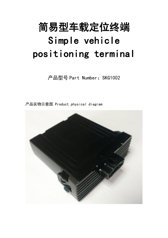# 简易型车载定位终端 Simple vehicle positioning terminal

产品型号 Part Number: SKG1002

产品实物示意图 Product physical diagram

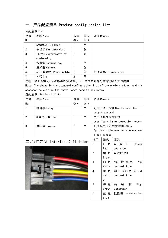# 一.产品配置清单 Product configuration list

### 标配清单 List

| 序号             | 名称 Name              | 数量  | 单位   | 备注 Remark          |  |
|----------------|----------------------|-----|------|--------------------|--|
| No.            |                      | Qty | Unit |                    |  |
|                | SKG1002 主机 Host      |     | 台    |                    |  |
| $\overline{2}$ | 保修卡 Warranty Card    |     | 张    |                    |  |
| 3              | 合格证 Certificate of   |     | 张    |                    |  |
|                | conformity           |     |      |                    |  |
| 4              | 包装盒 Packing box      |     | 个    |                    |  |
| 5              | 魔术贴 Velcro           |     | 张    |                    |  |
| 6              | 6pin 电源线 Power cable | -1  | 条    | 带保险 With insurance |  |
| 7              | 扎带 Tie               | 2   | 条    |                    |  |

注明:以上为整套产品的标准配置清单,以上范围之外的配件均需额外支付费用

Note: The above is the standard configuration list of the whole product, and the accessories outside the above range need to pay extra 选配清单:Optional list:

| 序号  | 名称 Name       | 数量  | 单位   | 备注 Remark                           |
|-----|---------------|-----|------|-------------------------------------|
| No. |               | Qty | Unit |                                     |
|     | 继电器 Relay     |     | 不    | 可用于输出控制 Can be used for             |
|     |               |     |      | output control                      |
| 2   | SOS 按钮 Button |     | 个    | 用户低触发检测汇报                           |
|     |               |     |      | User low trigger detection report   |
| 3   | 蜂鸣器 buzzer    |     | 不    | 可选配用作超速报警蜂鸣提示                       |
|     |               |     |      | Optional to be used as an overspeed |
|     |               |     |      | alarm buzzer                        |
|     |               |     |      |                                     |

# 二、接口定义 Interface Definition



| alarm          | buzzer |                      |
|----------------|--------|----------------------|
| 线序             | 线色     | 定义                   |
|                | 红 色    | 源<br>电<br>正<br>Power |
|                | Red    | positive             |
| $\overline{2}$ | 黑 色    | 电源地 GND              |
|                | Black  |                      |
| 3              | 色<br>8 | ACC 检 测 线<br>ACC     |
|                | White  | control line         |
| 4              | 黄 色    | 输出控制线 0utput         |
|                | Yello  | control line         |
|                | W      |                      |
| 5              | 棕<br>色 | 高<br>检<br>测<br>High  |
|                | Brown  | Detection            |
| 6              | 蓝 色    | 低检测 Low detection    |
|                | Blue   |                      |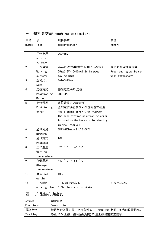|  | 三. 整机参数表 machine parameters |  |
|--|-----------------------------|--|
|  |                             |  |
|  |                             |  |

| 序号             | 项            | 规格参数                                 | 备注                      |
|----------------|--------------|--------------------------------------|-------------------------|
| Numbe          | ltem         | Specification                        | Remark                  |
| r              |              |                                      |                         |
| $\mathbf{1}$   | 工作电压         | DC9-55V                              |                         |
|                | working      |                                      |                         |
|                | voltage      |                                      |                         |
| $\overline{2}$ | 工作电流         | 25mA@12V/省电模式下 10-15mA@12V           | 静止时可以设置省电               |
|                | Working      | 25mA@12V/10-15mA@12V in power        | Power saving can be set |
|                | current      | saving mode                          | when stationary         |
| 3              | 规格尺寸         | 86*60*25mm                           |                         |
|                | Size         |                                      |                         |
| 4              | 定位方式         | 基站定位+GPS 定位                          |                         |
|                | Positioning  | LBS+GPS                              |                         |
|                | Method       |                                      |                         |
| 5              | 定位误差         | 定位误差<10m(CEP95)                      |                         |
|                | Positioning  | 基站定位误差根据所在区间基站密度                     |                         |
|                | error        | Positioning error <10m (CEP95)       |                         |
|                |              | The base station positioning error   |                         |
|                |              | is based on the base station density |                         |
|                |              | in the interval                      |                         |
| 6              | 通讯网络         | GPRS/WCDMA/4G LTE CAT1               |                         |
|                | Network      |                                      |                         |
| $\overline{7}$ | 通讯方式         | <b>TCP</b>                           |                         |
|                | Protocol     |                                      |                         |
| 8              | 工作温度         | $-25$ ° C - 65 ° C                   |                         |
|                | Working      |                                      |                         |
|                | temperature  |                                      |                         |
| 9              | 存储温度         | $-40$ ° C - 85 ° C                   |                         |
|                | Storage      |                                      |                         |
|                | temperature  |                                      |                         |
| 10             | 净重 Net       | 100 <sub>g</sub>                     |                         |
|                | weight       |                                      |                         |
| $11$           | 工作时间         | 0.5h, 静止状态下                          | 3.7V/160mAh             |
|                | working time | 0.5h, in a static state              |                         |

# 四. 产品整机功能表

| 功能项       | 功能说明                               |
|-----------|------------------------------------|
| Functions | Description                        |
| 跟踪定位      | 默认组合条件汇报,组合条件如下:运动 10s 上报一条当前位置信息, |
| Tracking  | 静止 120s 上报,拐弯角度超过 30 度汇报当前位置信息。    |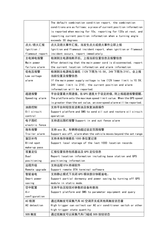|                 | The default combination condition report, the combination           |
|-----------------|---------------------------------------------------------------------|
|                 | conditions are as follows: a piece of current position information  |
|                 | is reported when moving for 10s, reporting for 120s at rest, and    |
|                 | reporting current position information when a turning angle         |
|                 | exceeds 30 degrees                                                  |
| 点火/熄火汇报         | 点火及熄火事件汇报,当发生点火或熄火事件立即上报                                            |
| $I$ gnition /   | Ignition and flameout incident report, when ignition or flameout    |
| flameout report | incident occurs, report immediately                                 |
| 主电掉电报警          | 检测到主电源线断开后,上报当前位置信息及报警信息                                            |
| Main power      | After detecting that the main power cord is disconnected, report    |
| failure alarm   | the current location information and alarm information              |
| 低电压报警           | 检测到主电源电压偏低(12V 下限为 10. 5V,24V 下限为 21V),会上报                          |
| Low voltage     | 当前位置及报警信息.                                                          |
| alarm           | If the main power supply voltage is low (12V lower limit is 10.5V,  |
|                 | 24V lower limit is 21V), the current position and alarm             |
|                 | information will be reported.                                       |
| 超速报警            | 平台设置最大限速值,当 GPS 速度大于设定的值,则上报超速报警提醒。                                 |
| Speeding alarm  | The platform sets the maximum speed limit value. When the GPS speed |
|                 | is greater than the set value, an overspeed alarm will be reported. |
| 油路控制            | 支持平台和短信发送断油及恢复油路操作                                                  |
| Oil circuit     | Support platform and SMS to send oil cut and restore oil circuit    |
| control         | operation                                                           |
| 电子围栏            | 支持进出围栏报警 Support in and out fence alarm                             |
| electric fence  |                                                                     |
| 拖车报警            | 支持 acc 关, 车辆移动超过设定范围报警                                              |
| Trailer alarm   | Support acc off, alarm when the vehicle moves beyond the set range  |
| 盲区补传            | 支持本地存储最后 1000 条位置记录                                                 |
| Blind spot      | Support local storage of the last 1000 location records             |
| make-up pass    |                                                                     |
| 双重定位            | 汇报位置信息包括基站及 GPS 定位信息                                                |
| Dual            | Report location information including base station and GPS          |
| positioning     | positioning information                                             |
| 远程升级            | 支持远程 OTA 终端软件                                                       |
| Remote upgrade  | Support remote OTA terminal software                                |
| 智能省电            | 支持静止模式下关闭 GPS 模块部分休眠省电。                                             |
| Smart power     | Support partial dormancy and power saving by turning off GPS        |
| saving          | module in static mode.                                              |
| 空中配置            | 支持平台及短信对参数的设备和查询                                                    |
| Air             | Support platform and SMS to parameter equipment and query           |
| configuration   |                                                                     |
| AC 检测           | 通过高触发可采集汽车 AC 空调开关或其他高触发状态量                                         |
| AC detection    | High trigger can collect car AC air conditioner switch or other     |
|                 | high trigger state quantity                                         |
| SOS 触发          | 通过低触发可以采集汽车门磁或 S0S 按钮状态                                             |
|                 |                                                                     |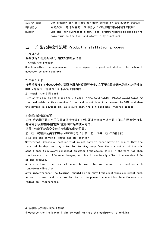| SOS trigger | Low trigger can collect car door sensor or SOS button status      |
|-------------|-------------------------------------------------------------------|
| 蜂鸣提示        | 可选配用于超速报警时,本地提示(和断油电功能不能同时使用)                                     |
| Buzzer      | Optional for overspeed alarm, local prompt (cannot be used at the |
|             | same time as the fuel and electricity function)                   |

## 五. 产品安装操作流程 Product installation process

1 检查产品

查看设备外观是否良好,相关配件是否齐全

1 Check the product

Check whether the appearance of the equipment is good and whether the relevant accessories are complete

### 2 安装 SIM 卡

打开设备将 SIM 卡放入卡座。请避免用力过度损坏卡座,且不要在设备通电的状态进行插拔 SIM 卡的操作, 请确保 SIM 卡具备上网功能 。

2 Install the SIM card

Turn on the device and place the SIM card in the card holder. Please avoid damaging the card holder with excessive force, and do not insert or remove the SIM card when the device is powered on. Make sure that the SIM card has Internet access.

#### 3 选择终端安装位置

防水:应选择不易进水的位置确保持终端的干燥,要注意远离空调出风口以防在温差变化时, 有冷凝水积聚在终端内部严重影响产品的使用寿命。

防震:终端不能悬空安装在长期振动较大位置。

防干扰:终端应远离车内影音和对讲等电子设备,防止传导干扰和辐射干扰。

3 Select the terminal installation location

Waterproof: Choose a location that is not easy to enter water to ensure that the terminal is dry, and pay attention to stay away from the air outlet of the air conditioner to prevent condensation water from accumulating in the terminal when the temperature difference changes, which will seriously affect the service life of the product.

Anti-vibration: The terminal cannot be installed in the air in a location with long-term vibration.

Anti-interference: The terminal should be far away from electronic equipment such as audio-visual and intercom in the car to prevent conduction interference and radiation interference.

4 观察指示灯确认设备工作常

4 Observe the indicator light to confirm that the equipment is working